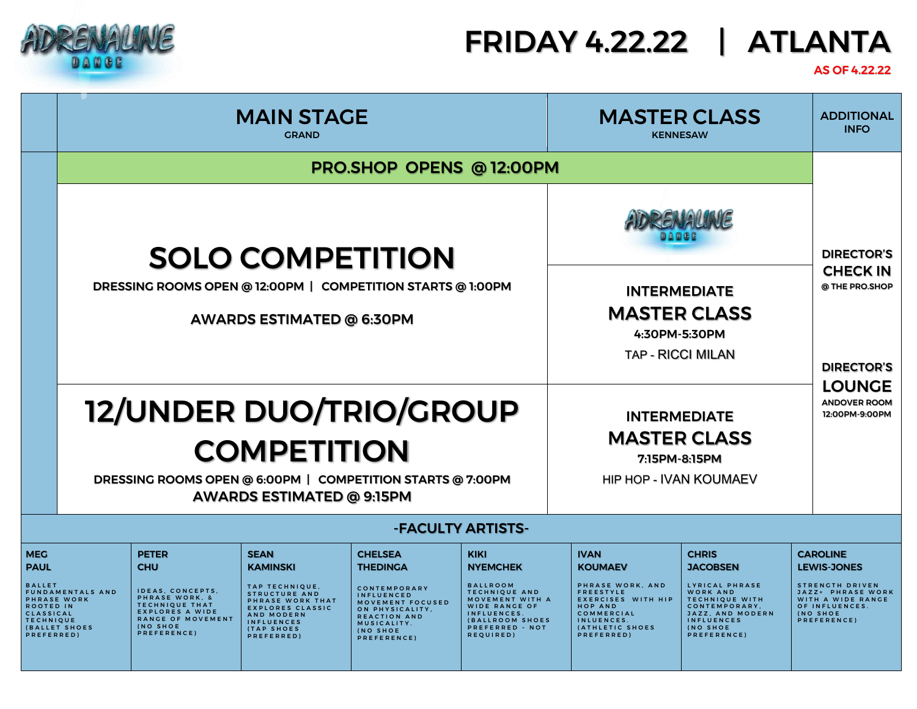

## FRIDAY 4.22.22 | ATLANTA

## AS OF 4.22.22

|                                                                                                                                                                                                | <b>MAIN STAGE</b><br><b>GRAND</b>                                                                                                        |                                                                                                                                                                     |                                                                                                                                                                                                | <b>MASTER CLASS</b><br><b>KENNESAW</b>                                                                                                                                  |                                                                                                                                                                                        | <b>ADDITIONAL</b><br><b>INFO</b>                                                                                                                                                  |                                                                                                                                                                                    |                                                                                                                                                        |
|------------------------------------------------------------------------------------------------------------------------------------------------------------------------------------------------|------------------------------------------------------------------------------------------------------------------------------------------|---------------------------------------------------------------------------------------------------------------------------------------------------------------------|------------------------------------------------------------------------------------------------------------------------------------------------------------------------------------------------|-------------------------------------------------------------------------------------------------------------------------------------------------------------------------|----------------------------------------------------------------------------------------------------------------------------------------------------------------------------------------|-----------------------------------------------------------------------------------------------------------------------------------------------------------------------------------|------------------------------------------------------------------------------------------------------------------------------------------------------------------------------------|--------------------------------------------------------------------------------------------------------------------------------------------------------|
|                                                                                                                                                                                                | PRO.SHOP OPENS @ 12:00PM                                                                                                                 |                                                                                                                                                                     |                                                                                                                                                                                                |                                                                                                                                                                         |                                                                                                                                                                                        |                                                                                                                                                                                   |                                                                                                                                                                                    |                                                                                                                                                        |
|                                                                                                                                                                                                | <b>SOLO COMPETITION</b><br>DRESSING ROOMS OPEN @ 12:00PM   COMPETITION STARTS @ 1:00PM<br>AWARDS ESTIMATED @ 6:30PM                      |                                                                                                                                                                     |                                                                                                                                                                                                |                                                                                                                                                                         |                                                                                                                                                                                        | <b>INTERMEDIATE</b><br><b>MASTER CLASS</b><br>4:30PM-5:30PM<br><b>TAP - RICCI MILAN</b>                                                                                           |                                                                                                                                                                                    | <b>DIRECTOR'S</b><br><b>CHECK IN</b><br>@ THE PRO.SHOP<br><b>DIRECTOR'S</b>                                                                            |
|                                                                                                                                                                                                | 12/UNDER DUO/TRIO/GROUP<br><b>COMPETITION</b><br>DRESSING ROOMS OPEN @ 6:00PM   COMPETITION STARTS @ 7:00PM<br>AWARDS ESTIMATED @ 9:15PM |                                                                                                                                                                     |                                                                                                                                                                                                | <b>INTERMEDIATE</b><br><b>MASTER CLASS</b><br>7:15PM-8:15PM<br><b>HIP HOP - IVAN KOUMAEV</b>                                                                            |                                                                                                                                                                                        | <b>LOUNGE</b><br><b>ANDOVER ROOM</b><br>12:00PM-9:00PM                                                                                                                            |                                                                                                                                                                                    |                                                                                                                                                        |
|                                                                                                                                                                                                |                                                                                                                                          |                                                                                                                                                                     |                                                                                                                                                                                                |                                                                                                                                                                         | -FACULTY ARTISTS-                                                                                                                                                                      |                                                                                                                                                                                   |                                                                                                                                                                                    |                                                                                                                                                        |
| <b>MEG</b><br><b>PAUL</b><br><b>BALLET</b><br><b>FUNDAMENTALS AND</b><br><b>PHRASE WORK</b><br><b>ROOTED IN</b><br><b>CLASSICAL</b><br><b>TECHNIQUE</b><br><b>(BALLET SHOES)</b><br>PREFERRED) |                                                                                                                                          | <b>PETER</b><br><b>CHU</b><br>IDEAS, CONCEPTS,<br>PHRASE WORK, &<br><b>TECHNIQUE THAT</b><br><b>EXPLORES A WIDE</b><br>RANGE OF MOVEMENT<br>(NO SHOE<br>PREFERENCE) | <b>SEAN</b><br><b>KAMINSKI</b><br>TAP TECHNIQUE,<br><b>STRUCTURE AND</b><br>PHRASE WORK THAT<br><b>EXPLORES CLASSIC</b><br>AND MODERN<br><b>INFLUENCES</b><br><b>(TAP SHOES)</b><br>PREFERRED) | <b>CHELSEA</b><br><b>THEDINGA</b><br>CONTEMPORARY<br><b>INFLUENCED</b><br>MOVEMENT FOCUSED<br>ON PHYSICALITY,<br>REACTION AND<br>MUSICALITY.<br>(NO SHOE<br>PREFERENCE) | <b>KIKI</b><br><b>NYEMCHEK</b><br><b>BALLROOM</b><br><b>TECHNIQUE AND</b><br>MOVEMENT WITH A<br><b>WIDE RANGE OF</b><br>INFLUENCES.<br>(BALLROOM SHOES<br>PREFERRED - NOT<br>REQUIRED) | <b>IVAN</b><br><b>KOUMAEV</b><br>PHRASE WORK, AND<br><b>FREESTYLE</b><br><b>EXERCISES WITH HIP</b><br><b>HOP AND</b><br>COMMERCIAL<br>INLUENCES.<br>(ATHLETIC SHOES<br>PREFERRED) | <b>CHRIS</b><br><b>JACOBSEN</b><br>LYRICAL PHRASE<br>WORK AND<br><b>TECHNIQUE WITH</b><br>CONTEMPORARY,<br>JAZZ, AND MODERN<br><b>INFLUENCES</b><br><b>(NO SHOE</b><br>PREFERENCE) | <b>CAROLINE</b><br><b>LEWIS-JONES</b><br><b>STRENGTH DRIVEN</b><br>JAZZ+ PHRASE WORK<br>WITH A WIDE RANGE<br>OF INFLUENCES.<br>(NO SHOE<br>PREFERENCE) |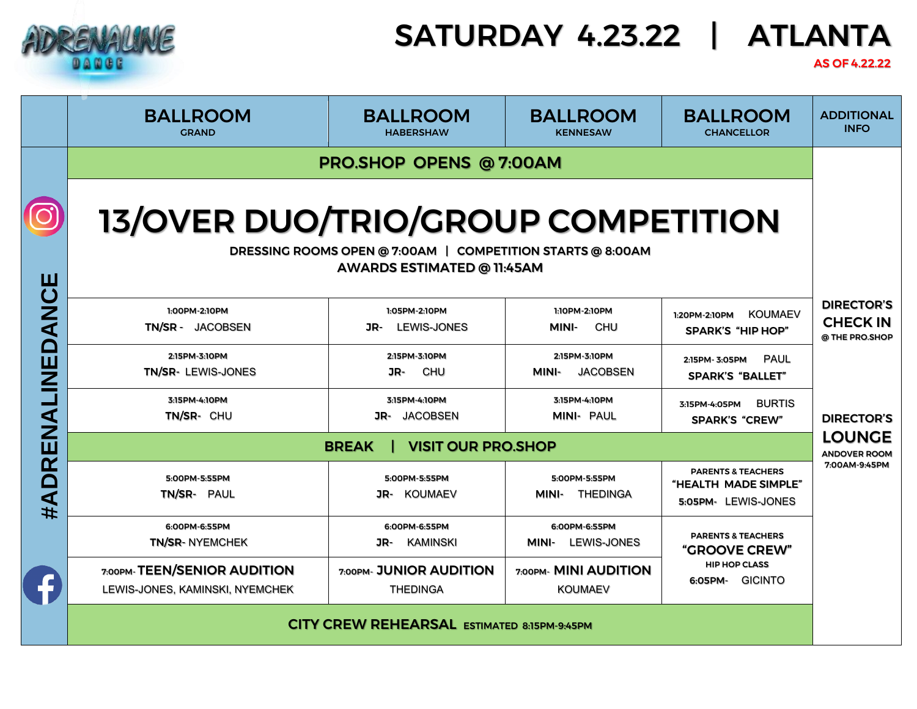|                                                                |                                                                                                                                | <b>SATURDAY 4.23.22</b><br><b>ATLANTA</b>   |                                           |                                                                              |                                                        |  |  |
|----------------------------------------------------------------|--------------------------------------------------------------------------------------------------------------------------------|---------------------------------------------|-------------------------------------------|------------------------------------------------------------------------------|--------------------------------------------------------|--|--|
|                                                                | <b>BALLROOM</b><br><b>GRAND</b>                                                                                                | <b>BALLROOM</b><br><b>HABERSHAW</b>         | <b>BALLROOM</b><br><b>KENNESAW</b>        | <b>BALLROOM</b><br><b>CHANCELLOR</b>                                         | <b>ADDITIONAL</b><br><b>INFO</b>                       |  |  |
|                                                                | <b>PRO.SHOP OPENS @ 7:00AM</b>                                                                                                 |                                             |                                           |                                                                              |                                                        |  |  |
| #ADRENALINEDANCE                                               | 13/OVER DUO/TRIO/GROUP COMPETITION<br>DRESSING ROOMS OPEN @ 7:00AM   COMPETITION STARTS @ 8:00AM<br>AWARDS ESTIMATED @ 11:45AM |                                             |                                           |                                                                              |                                                        |  |  |
|                                                                | 1:00PM-2:10PM<br>TN/SR - JACOBSEN                                                                                              | 1:05PM-2:10PM<br><b>LEWIS-JONES</b><br>JR-  | 1:10PM-2:10PM<br><b>CHU</b><br>MINI-      | <b>KOUMAEV</b><br>1:20PM-2:10PM<br><b>SPARK'S "HIP HOP"</b>                  | <b>DIRECTOR'S</b><br><b>CHECK IN</b><br>@ THE PRO.SHOP |  |  |
|                                                                | 2:15PM-3:10PM<br>TN/SR- LEWIS-JONES                                                                                            | 2:15PM-3:10PM<br>CHU<br>JR-                 | 2:15PM-3:10PM<br><b>JACOBSEN</b><br>MINI- | <b>PAUL</b><br>2:15PM-3:05PM<br><b>SPARK'S "BALLET"</b>                      |                                                        |  |  |
|                                                                | 3:15PM-4:10PM<br>TN/SR- CHU                                                                                                    | 3:15PM-4:10PM<br><b>JACOBSEN</b><br>JR-     | 3:15PM-4:10PM<br><b>MINI- PAUL</b>        | <b>BURTIS</b><br>3:15PM-4:05PM<br><b>SPARK'S "CREW"</b>                      | <b>DIRECTOR'S</b>                                      |  |  |
|                                                                | <b>VISIT OUR PRO.SHOP</b><br><b>BREAK</b>                                                                                      |                                             |                                           |                                                                              |                                                        |  |  |
|                                                                | 5:00PM-5:55PM<br>TN/SR- PAUL                                                                                                   | 5:00PM-5:55PM<br>JR- KOUMAEV                | 5:00PM-5:55PM<br>MINI- THEDINGA           | <b>PARENTS &amp; TEACHERS</b><br>"HEALTH MADE SIMPLE"<br>5:05PM- LEWIS-JONES | 7:00AM-9:45PM                                          |  |  |
|                                                                | 6:00PM-6:55PM<br><b>TN/SR-NYEMCHEK</b>                                                                                         | 6:00PM-6:55PM<br>JR-<br>KAMINSKI            | 6:00PM-6:55PM<br>MINI- LEWIS-JONES        | <b>PARENTS &amp; TEACHERS</b><br><b>"GROOVE CREW"</b>                        |                                                        |  |  |
| 7:00PM-TEEN/SENIOR AUDITION<br>LEWIS-JONES, KAMINSKI, NYEMCHEK |                                                                                                                                | 7:00PM- JUNIOR AUDITION<br><b>THEDINGA</b>  | 7:00PM- MINI AUDITION<br><b>KOUMAEV</b>   | <b>HIP HOP CLASS</b><br>6:05PM- GICINTO                                      |                                                        |  |  |
|                                                                |                                                                                                                                | CITY CREW REHEARSAL ESTIMATED 8:15PM-9:45PM |                                           |                                                                              |                                                        |  |  |